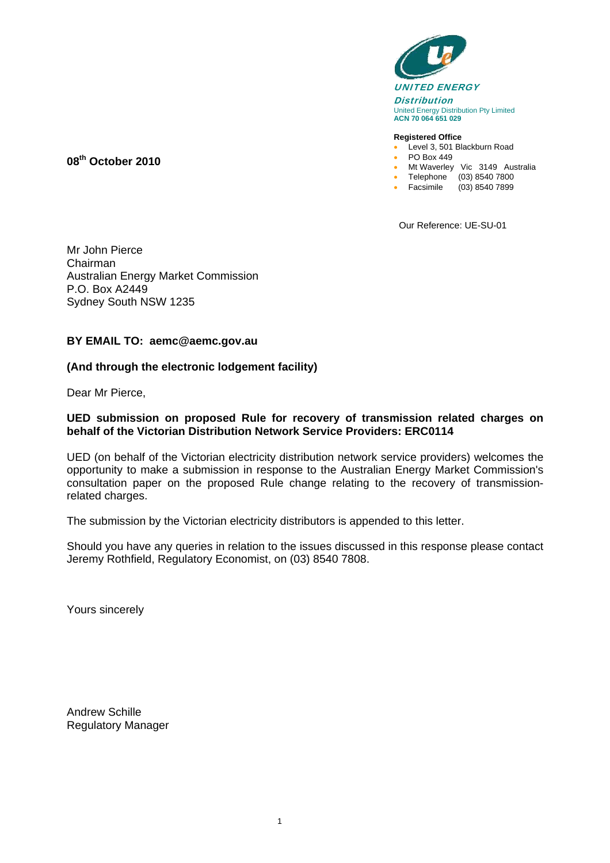

#### **Registered Office**

- Level 3, 501 Blackburn Road
- PO Box 449
- Mt Waverley Vic 3149 Australia
- Telephone (03) 8540 7800
- Facsimile (03) 8540 7899

Our Reference: UE-SU-01

Mr John Pierce Chairman Australian Energy Market Commission P.O. Box A2449 Sydney South NSW 1235

# **BY EMAIL TO: aemc@aemc.gov.au**

# **(And through the electronic lodgement facility)**

Dear Mr Pierce,

# **UED submission on proposed Rule for recovery of transmission related charges on behalf of the Victorian Distribution Network Service Providers: ERC0114**

UED (on behalf of the Victorian electricity distribution network service providers) welcomes the opportunity to make a submission in response to the Australian Energy Market Commission's consultation paper on the proposed Rule change relating to the recovery of transmissionrelated charges.

The submission by the Victorian electricity distributors is appended to this letter.

Should you have any queries in relation to the issues discussed in this response please contact Jeremy Rothfield, Regulatory Economist, on (03) 8540 7808.

Yours sincerely

Andrew Schille Regulatory Manager

**08th October 2010**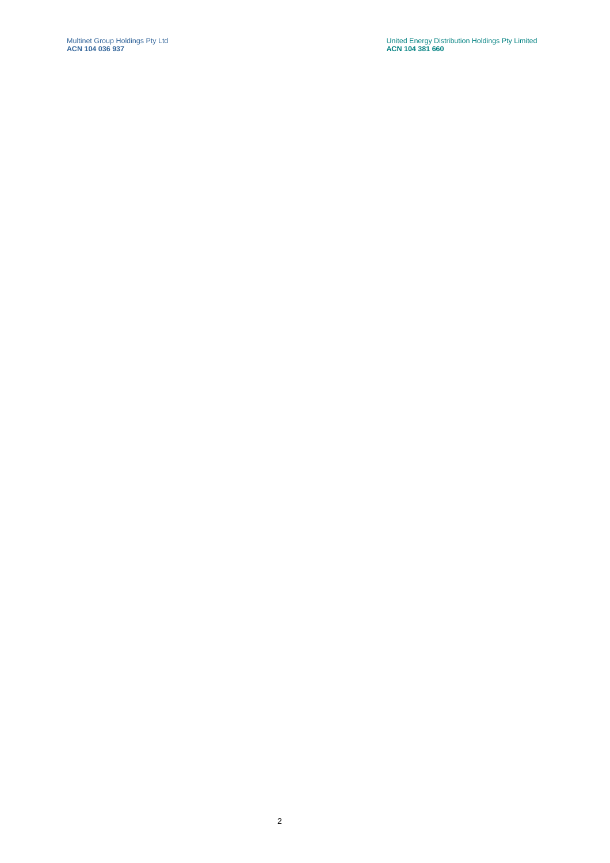Multinet Group Holdings Pty Ltd **ACN 104 036 937**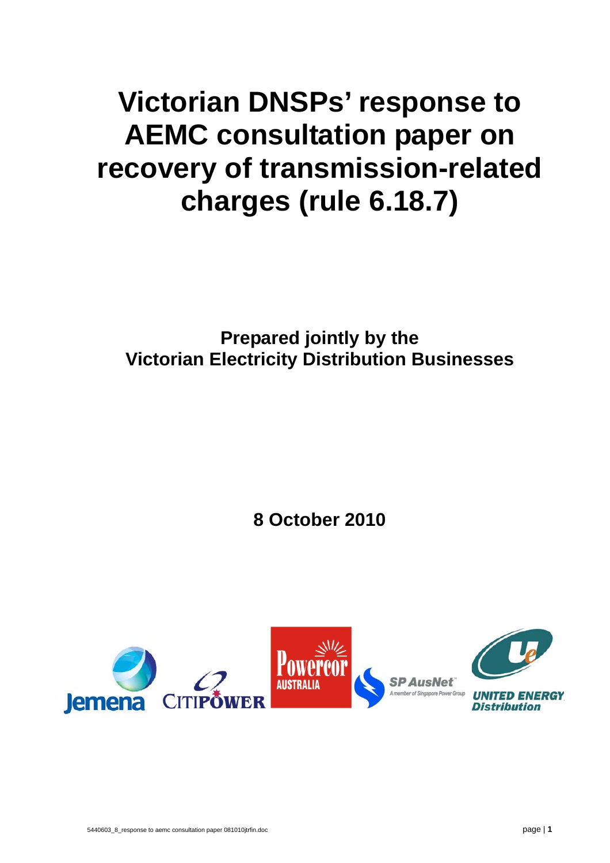# **Victorian DNSPs' response to AEMC consultation paper on recovery of transmission-related charges (rule 6.18.7)**

**Prepared jointly by the Victorian Electricity Distribution Businesses**

**8 October 2010** 

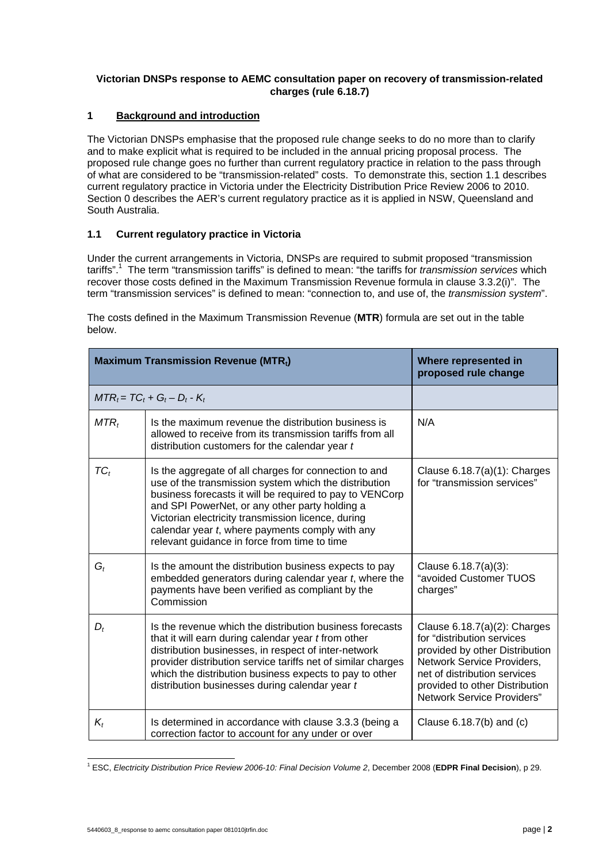# **Victorian DNSPs response to AEMC consultation paper on recovery of transmission-related charges (rule 6.18.7)**

# **1 Background and introduction**

The Victorian DNSPs emphasise that the proposed rule change seeks to do no more than to clarify and to make explicit what is required to be included in the annual pricing proposal process. The proposed rule change goes no further than current regulatory practice in relation to the pass through of what are considered to be "transmission-related" costs. To demonstrate this, section 1.1 describes current regulatory practice in Victoria under the Electricity Distribution Price Review 2006 to 2010. Section 0 describes the AER's current regulatory practice as it is applied in NSW, Queensland and South Australia.

# **1.1 Current regulatory practice in Victoria**

Under the current arrangements in Victoria, DNSPs are required to submit proposed "transmission tariffs".1 The term "transmission tariffs" is defined to mean: "the tariffs for *transmission services* which recover those costs defined in the Maximum Transmission Revenue formula in clause 3.3.2(i)". The term "transmission services" is defined to mean: "connection to, and use of, the *transmission system*".

The costs defined in the Maximum Transmission Revenue (**MTR**) formula are set out in the table below.

| <b>Maximum Transmission Revenue (MTR</b> <sub>t</sub> ) |                                                                                                                                                                                                                                                                                                                                                                                       | Where represented in<br>proposed rule change                                                                                                                                                                                  |
|---------------------------------------------------------|---------------------------------------------------------------------------------------------------------------------------------------------------------------------------------------------------------------------------------------------------------------------------------------------------------------------------------------------------------------------------------------|-------------------------------------------------------------------------------------------------------------------------------------------------------------------------------------------------------------------------------|
| $MTR_t = TC_t + G_t - D_t - K_t$                        |                                                                                                                                                                                                                                                                                                                                                                                       |                                                                                                                                                                                                                               |
| $MTR_t$                                                 | Is the maximum revenue the distribution business is<br>allowed to receive from its transmission tariffs from all<br>distribution customers for the calendar year t                                                                                                                                                                                                                    | N/A                                                                                                                                                                                                                           |
| $TC_t$                                                  | Is the aggregate of all charges for connection to and<br>use of the transmission system which the distribution<br>business forecasts it will be required to pay to VENCorp<br>and SPI PowerNet, or any other party holding a<br>Victorian electricity transmission licence, during<br>calendar year t, where payments comply with any<br>relevant guidance in force from time to time | Clause $6.18.7(a)(1)$ : Charges<br>for "transmission services"                                                                                                                                                                |
| $G_{t}$                                                 | Is the amount the distribution business expects to pay<br>embedded generators during calendar year t, where the<br>payments have been verified as compliant by the<br>Commission                                                                                                                                                                                                      | Clause 6.18.7(a)(3):<br>"avoided Customer TUOS<br>charges"                                                                                                                                                                    |
| $D_t$                                                   | Is the revenue which the distribution business forecasts<br>that it will earn during calendar year t from other<br>distribution businesses, in respect of inter-network<br>provider distribution service tariffs net of similar charges<br>which the distribution business expects to pay to other<br>distribution businesses during calendar year t                                  | Clause $6.18.7(a)(2)$ : Charges<br>for "distribution services<br>provided by other Distribution<br>Network Service Providers,<br>net of distribution services<br>provided to other Distribution<br>Network Service Providers" |
| $K_t$                                                   | Is determined in accordance with clause 3.3.3 (being a<br>correction factor to account for any under or over                                                                                                                                                                                                                                                                          | Clause $6.18.7(b)$ and $(c)$                                                                                                                                                                                                  |

 $\overline{a}$ 1 ESC, *Electricity Distribution Price Review 2006-10: Final Decision Volume 2*, December 2008 (**EDPR Final Decision**), p 29.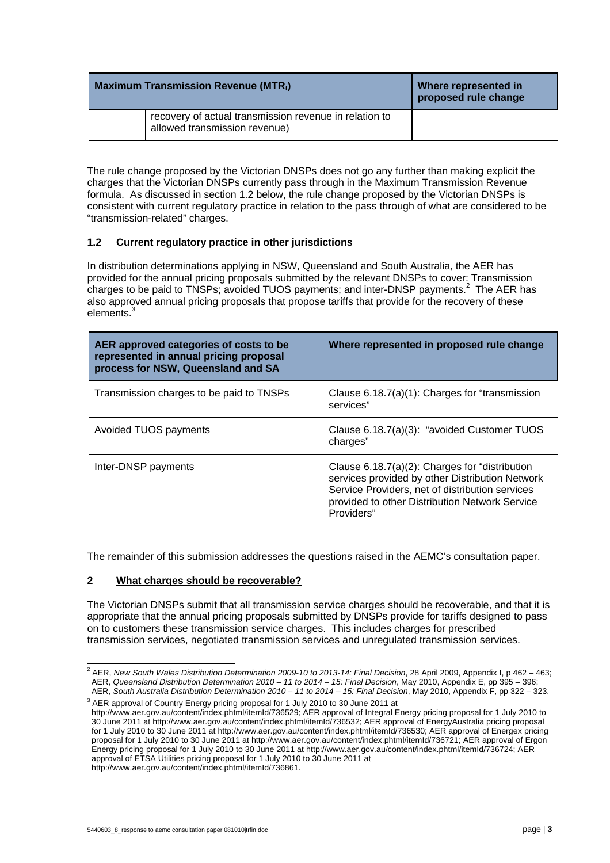| <b>Maximum Transmission Revenue (MTR,)</b>                                              | Where represented in<br>proposed rule change |
|-----------------------------------------------------------------------------------------|----------------------------------------------|
| recovery of actual transmission revenue in relation to<br>allowed transmission revenue) |                                              |

The rule change proposed by the Victorian DNSPs does not go any further than making explicit the charges that the Victorian DNSPs currently pass through in the Maximum Transmission Revenue formula. As discussed in section 1.2 below, the rule change proposed by the Victorian DNSPs is consistent with current regulatory practice in relation to the pass through of what are considered to be "transmission-related" charges.

# **1.2 Current regulatory practice in other jurisdictions**

In distribution determinations applying in NSW, Queensland and South Australia, the AER has provided for the annual pricing proposals submitted by the relevant DNSPs to cover: Transmission charges to be paid to TNSPs; avoided TUOS payments; and inter-DNSP payments.<sup>2</sup> The AER has also approved annual pricing proposals that propose tariffs that provide for the recovery of these elements.<sup>3</sup>

| AER approved categories of costs to be<br>represented in annual pricing proposal<br>process for NSW, Queensland and SA | Where represented in proposed rule change                                                                                                                                                                             |
|------------------------------------------------------------------------------------------------------------------------|-----------------------------------------------------------------------------------------------------------------------------------------------------------------------------------------------------------------------|
| Transmission charges to be paid to TNSPs                                                                               | Clause $6.18.7(a)(1)$ : Charges for "transmission"<br>services"                                                                                                                                                       |
| Avoided TUOS payments                                                                                                  | Clause 6.18.7(a)(3): "avoided Customer TUOS<br>charges"                                                                                                                                                               |
| Inter-DNSP payments                                                                                                    | Clause 6.18.7(a)(2): Charges for "distribution"<br>services provided by other Distribution Network<br>Service Providers, net of distribution services<br>provided to other Distribution Network Service<br>Providers" |

The remainder of this submission addresses the questions raised in the AEMC's consultation paper.

# **2 What charges should be recoverable?**

The Victorian DNSPs submit that all transmission service charges should be recoverable, and that it is appropriate that the annual pricing proposals submitted by DNSPs provide for tariffs designed to pass on to customers these transmission service charges. This includes charges for prescribed transmission services, negotiated transmission services and unregulated transmission services.

 $3$  AER approval of Country Energy pricing proposal for 1 July 2010 to 30 June 2011 at

 2 AER, *New South Wales Distribution Determination 2009-10 to 2013-14: Final Decision*, 28 April 2009, Appendix I, p 462 – 463; AER, *Queensland Distribution Determination 2010 – 11 to 2014 – 15: Final Decision*, May 2010, Appendix E, pp 395 – 396; AER, *South Australia Distribution Determination 2010 – 11 to 2014 – 15: Final Decision*, May 2010, Appendix F, pp 322 – 323.

http://www.aer.gov.au/content/index.phtml/itemId/736529; AER approval of Integral Energy pricing proposal for 1 July 2010 to 30 June 2011 at http://www.aer.gov.au/content/index.phtml/itemId/736532; AER approval of EnergyAustralia pricing proposal for 1 July 2010 to 30 June 2011 at http://www.aer.gov.au/content/index.phtml/itemId/736530; AER approval of Energex pricing proposal for 1 July 2010 to 30 June 2011 at http://www.aer.gov.au/content/index.phtml/itemId/736721; AER approval of Ergon Energy pricing proposal for 1 July 2010 to 30 June 2011 at http://www.aer.gov.au/content/index.phtml/itemId/736724; AER approval of ETSA Utilities pricing proposal for 1 July 2010 to 30 June 2011 at http://www.aer.gov.au/content/index.phtml/itemId/736861.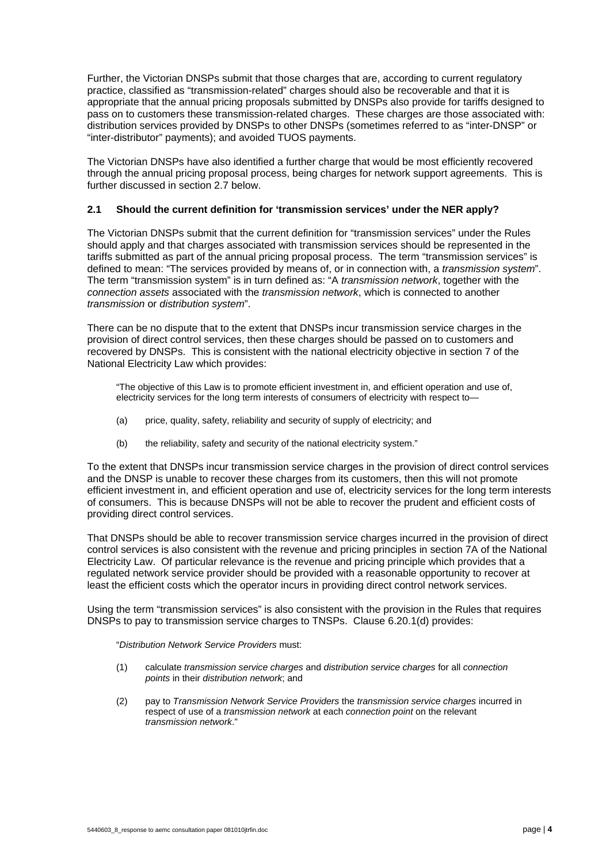Further, the Victorian DNSPs submit that those charges that are, according to current regulatory practice, classified as "transmission-related" charges should also be recoverable and that it is appropriate that the annual pricing proposals submitted by DNSPs also provide for tariffs designed to pass on to customers these transmission-related charges. These charges are those associated with: distribution services provided by DNSPs to other DNSPs (sometimes referred to as "inter-DNSP" or "inter-distributor" payments); and avoided TUOS payments.

The Victorian DNSPs have also identified a further charge that would be most efficiently recovered through the annual pricing proposal process, being charges for network support agreements. This is further discussed in section 2.7 below.

# **2.1 Should the current definition for 'transmission services' under the NER apply?**

The Victorian DNSPs submit that the current definition for "transmission services" under the Rules should apply and that charges associated with transmission services should be represented in the tariffs submitted as part of the annual pricing proposal process. The term "transmission services" is defined to mean: "The services provided by means of, or in connection with, a *transmission system*". The term "transmission system" is in turn defined as: "A *transmission network*, together with the *connection assets* associated with the *transmission network*, which is connected to another *transmission* or *distribution system*".

There can be no dispute that to the extent that DNSPs incur transmission service charges in the provision of direct control services, then these charges should be passed on to customers and recovered by DNSPs. This is consistent with the national electricity objective in section 7 of the National Electricity Law which provides:

"The objective of this Law is to promote efficient investment in, and efficient operation and use of, electricity services for the long term interests of consumers of electricity with respect to—

- (a) price, quality, safety, reliability and security of supply of electricity; and
- (b) the reliability, safety and security of the national electricity system."

To the extent that DNSPs incur transmission service charges in the provision of direct control services and the DNSP is unable to recover these charges from its customers, then this will not promote efficient investment in, and efficient operation and use of, electricity services for the long term interests of consumers. This is because DNSPs will not be able to recover the prudent and efficient costs of providing direct control services.

That DNSPs should be able to recover transmission service charges incurred in the provision of direct control services is also consistent with the revenue and pricing principles in section 7A of the National Electricity Law. Of particular relevance is the revenue and pricing principle which provides that a regulated network service provider should be provided with a reasonable opportunity to recover at least the efficient costs which the operator incurs in providing direct control network services.

Using the term "transmission services" is also consistent with the provision in the Rules that requires DNSPs to pay to transmission service charges to TNSPs. Clause 6.20.1(d) provides:

"*Distribution Network Service Providers* must:

- (1) calculate *transmission service charges* and *distribution service charges* for all *connection points* in their *distribution network*; and
- (2) pay to *Transmission Network Service Providers* the *transmission service charges* incurred in respect of use of a *transmission network* at each *connection point* on the relevant *transmission network*."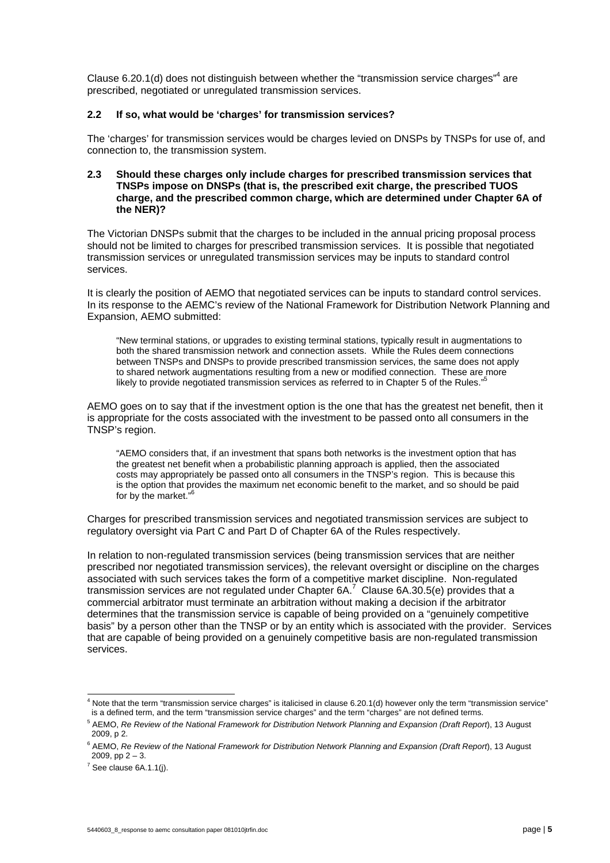Clause 6.20.1(d) does not distinguish between whether the "transmission service charges"<sup>4</sup> are prescribed, negotiated or unregulated transmission services.

## **2.2 If so, what would be 'charges' for transmission services?**

The 'charges' for transmission services would be charges levied on DNSPs by TNSPs for use of, and connection to, the transmission system.

**2.3 Should these charges only include charges for prescribed transmission services that TNSPs impose on DNSPs (that is, the prescribed exit charge, the prescribed TUOS charge, and the prescribed common charge, which are determined under Chapter 6A of the NER)?** 

The Victorian DNSPs submit that the charges to be included in the annual pricing proposal process should not be limited to charges for prescribed transmission services. It is possible that negotiated transmission services or unregulated transmission services may be inputs to standard control services.

It is clearly the position of AEMO that negotiated services can be inputs to standard control services. In its response to the AEMC's review of the National Framework for Distribution Network Planning and Expansion, AEMO submitted:

"New terminal stations, or upgrades to existing terminal stations, typically result in augmentations to both the shared transmission network and connection assets. While the Rules deem connections between TNSPs and DNSPs to provide prescribed transmission services, the same does not apply to shared network augmentations resulting from a new or modified connection. These are more likely to provide negotiated transmission services as referred to in Chapter 5 of the Rules."

AEMO goes on to say that if the investment option is the one that has the greatest net benefit, then it is appropriate for the costs associated with the investment to be passed onto all consumers in the TNSP's region.

"AEMO considers that, if an investment that spans both networks is the investment option that has the greatest net benefit when a probabilistic planning approach is applied, then the associated costs may appropriately be passed onto all consumers in the TNSP's region. This is because this is the option that provides the maximum net economic benefit to the market, and so should be paid for by the market.'

Charges for prescribed transmission services and negotiated transmission services are subject to regulatory oversight via Part C and Part D of Chapter 6A of the Rules respectively.

In relation to non-regulated transmission services (being transmission services that are neither prescribed nor negotiated transmission services), the relevant oversight or discipline on the charges associated with such services takes the form of a competitive market discipline. Non-regulated transmission services are not regulated under Chapter 6A.<sup>7</sup> Clause 6A.30.5(e) provides that a commercial arbitrator must terminate an arbitration without making a decision if the arbitrator determines that the transmission service is capable of being provided on a "genuinely competitive basis" by a person other than the TNSP or by an entity which is associated with the provider. Services that are capable of being provided on a genuinely competitive basis are non-regulated transmission services.

 4 Note that the term "transmission service charges" is italicised in clause 6.20.1(d) however only the term "transmission service" is a defined term, and the term "transmission service charges" and the term "charges" are not defined terms.

<sup>5</sup> AEMO, *Re Review of the National Framework for Distribution Network Planning and Expansion (Draft Report*), 13 August 2009, p 2.

<sup>6</sup> AEMO, *Re Review of the National Framework for Distribution Network Planning and Expansion (Draft Report*), 13 August 2009, pp  $2 - 3$ .

 $7$  See clause 6A.1.1(j).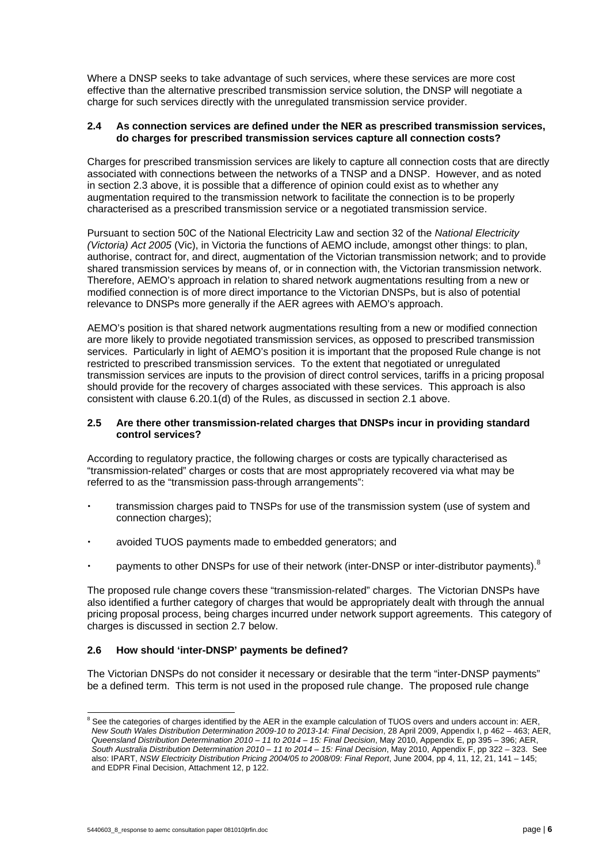Where a DNSP seeks to take advantage of such services, where these services are more cost effective than the alternative prescribed transmission service solution, the DNSP will negotiate a charge for such services directly with the unregulated transmission service provider.

## **2.4 As connection services are defined under the NER as prescribed transmission services, do charges for prescribed transmission services capture all connection costs?**

Charges for prescribed transmission services are likely to capture all connection costs that are directly associated with connections between the networks of a TNSP and a DNSP. However, and as noted in section 2.3 above, it is possible that a difference of opinion could exist as to whether any augmentation required to the transmission network to facilitate the connection is to be properly characterised as a prescribed transmission service or a negotiated transmission service.

Pursuant to section 50C of the National Electricity Law and section 32 of the *National Electricity (Victoria) Act 2005* (Vic), in Victoria the functions of AEMO include, amongst other things: to plan, authorise, contract for, and direct, augmentation of the Victorian transmission network; and to provide shared transmission services by means of, or in connection with, the Victorian transmission network. Therefore, AEMO's approach in relation to shared network augmentations resulting from a new or modified connection is of more direct importance to the Victorian DNSPs, but is also of potential relevance to DNSPs more generally if the AER agrees with AEMO's approach.

AEMO's position is that shared network augmentations resulting from a new or modified connection are more likely to provide negotiated transmission services, as opposed to prescribed transmission services. Particularly in light of AEMO's position it is important that the proposed Rule change is not restricted to prescribed transmission services. To the extent that negotiated or unregulated transmission services are inputs to the provision of direct control services, tariffs in a pricing proposal should provide for the recovery of charges associated with these services. This approach is also consistent with clause 6.20.1(d) of the Rules, as discussed in section 2.1 above.

## **2.5 Are there other transmission-related charges that DNSPs incur in providing standard control services?**

According to regulatory practice, the following charges or costs are typically characterised as "transmission-related" charges or costs that are most appropriately recovered via what may be referred to as the "transmission pass-through arrangements":

- transmission charges paid to TNSPs for use of the transmission system (use of system and connection charges);
- avoided TUOS payments made to embedded generators; and
- payments to other DNSPs for use of their network (inter-DNSP or inter-distributor payments).<sup>8</sup>

The proposed rule change covers these "transmission-related" charges. The Victorian DNSPs have also identified a further category of charges that would be appropriately dealt with through the annual pricing proposal process, being charges incurred under network support agreements. This category of charges is discussed in section 2.7 below.

# **2.6 How should 'inter-DNSP' payments be defined?**

The Victorian DNSPs do not consider it necessary or desirable that the term "inter-DNSP payments" be a defined term. This term is not used in the proposed rule change. The proposed rule change

<sup>8&</sup>lt;br>Bee the categories of charges identified by the AER in the example calculation of TUOS overs and unders account in: AER, *New South Wales Distribution Determination 2009-10 to 2013-14: Final Decision*, 28 April 2009, Appendix I, p 462 – 463; AER, *Queensland Distribution Determination 2010 – 11 to 2014 – 15: Final Decision*, May 2010, Appendix E, pp 395 – 396; AER, *South Australia Distribution Determination 2010 – 11 to 2014 – 15: Final Decision*, May 2010, Appendix F, pp 322 – 323. See also: IPART, *NSW Electricity Distribution Pricing 2004/05 to 2008/09: Final Report*, June 2004, pp 4, 11, 12, 21, 141 – 145; and EDPR Final Decision, Attachment 12, p 122.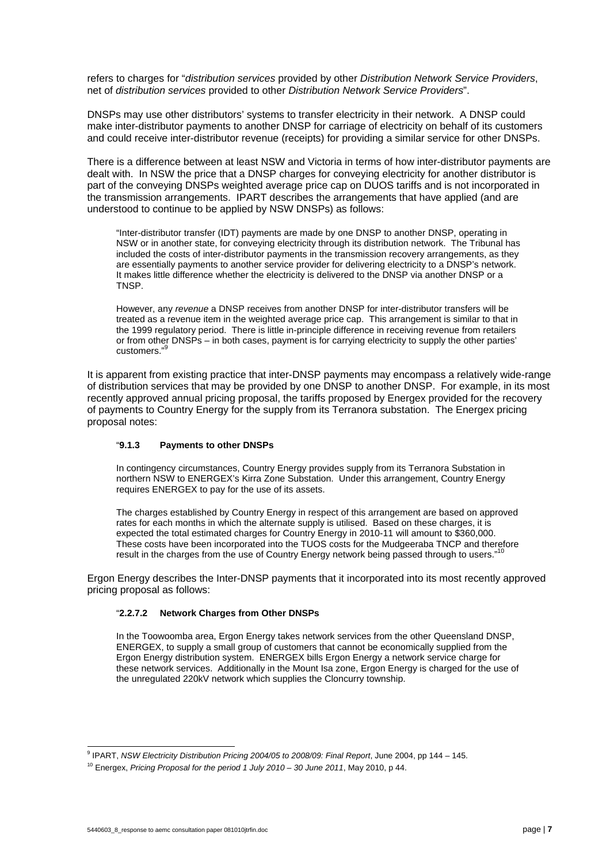refers to charges for "*distribution services* provided by other *Distribution Network Service Providers*, net of *distribution services* provided to other *Distribution Network Service Providers*".

DNSPs may use other distributors' systems to transfer electricity in their network. A DNSP could make inter-distributor payments to another DNSP for carriage of electricity on behalf of its customers and could receive inter-distributor revenue (receipts) for providing a similar service for other DNSPs.

There is a difference between at least NSW and Victoria in terms of how inter-distributor payments are dealt with. In NSW the price that a DNSP charges for conveying electricity for another distributor is part of the conveying DNSPs weighted average price cap on DUOS tariffs and is not incorporated in the transmission arrangements. IPART describes the arrangements that have applied (and are understood to continue to be applied by NSW DNSPs) as follows:

"Inter-distributor transfer (IDT) payments are made by one DNSP to another DNSP, operating in NSW or in another state, for conveying electricity through its distribution network. The Tribunal has included the costs of inter-distributor payments in the transmission recovery arrangements, as they are essentially payments to another service provider for delivering electricity to a DNSP's network. It makes little difference whether the electricity is delivered to the DNSP via another DNSP or a TNSP.

However, any *revenue* a DNSP receives from another DNSP for inter-distributor transfers will be treated as a revenue item in the weighted average price cap. This arrangement is similar to that in the 1999 regulatory period. There is little in-principle difference in receiving revenue from retailers or from other DNSPs – in both cases, payment is for carrying electricity to supply the other parties' customers."

It is apparent from existing practice that inter-DNSP payments may encompass a relatively wide-range of distribution services that may be provided by one DNSP to another DNSP. For example, in its most recently approved annual pricing proposal, the tariffs proposed by Energex provided for the recovery of payments to Country Energy for the supply from its Terranora substation. The Energex pricing proposal notes:

#### "**9.1.3 Payments to other DNSPs**

In contingency circumstances, Country Energy provides supply from its Terranora Substation in northern NSW to ENERGEX's Kirra Zone Substation. Under this arrangement, Country Energy requires ENERGEX to pay for the use of its assets.

The charges established by Country Energy in respect of this arrangement are based on approved rates for each months in which the alternate supply is utilised. Based on these charges, it is expected the total estimated charges for Country Energy in 2010-11 will amount to \$360,000. These costs have been incorporated into the TUOS costs for the Mudgeeraba TNCP and therefore result in the charges from the use of Country Energy network being passed through to users."<sup>10</sup>

Ergon Energy describes the Inter-DNSP payments that it incorporated into its most recently approved pricing proposal as follows:

#### "**2.2.7.2 Network Charges from Other DNSPs**

In the Toowoomba area, Ergon Energy takes network services from the other Queensland DNSP, ENERGEX, to supply a small group of customers that cannot be economically supplied from the Ergon Energy distribution system. ENERGEX bills Ergon Energy a network service charge for these network services. Additionally in the Mount Isa zone, Ergon Energy is charged for the use of the unregulated 220kV network which supplies the Cloncurry township.

<sup>-&</sup>lt;br>9

<sup>&</sup>lt;sup>10</sup> Energex, Pricing Proposal for the period 1 July 2010 – 30 June 2011, May 2010, p 44.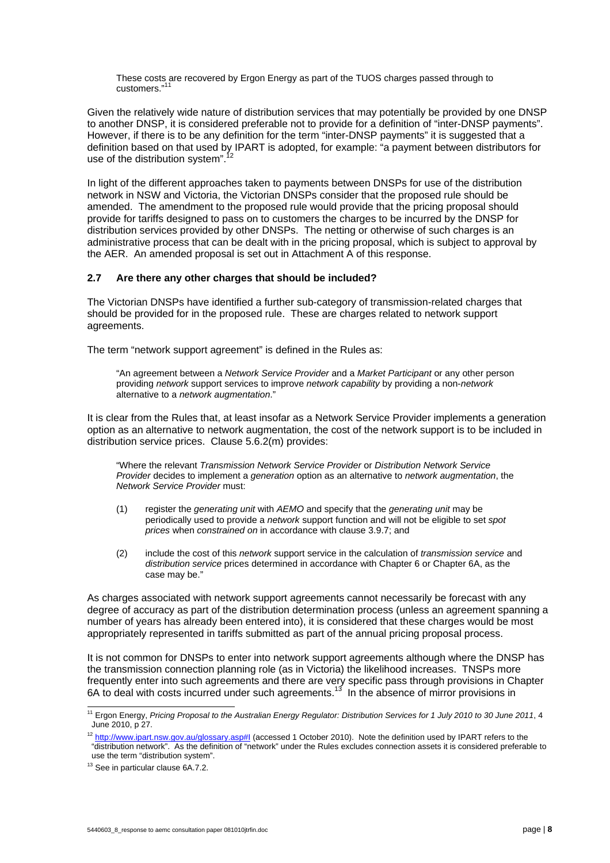These costs are recovered by Ergon Energy as part of the TUOS charges passed through to customers<sup>"</sup>

Given the relatively wide nature of distribution services that may potentially be provided by one DNSP to another DNSP, it is considered preferable not to provide for a definition of "inter-DNSP payments". However, if there is to be any definition for the term "inter-DNSP payments" it is suggested that a definition based on that used by IPART is adopted, for example: "a payment between distributors for use of the distribution system".

In light of the different approaches taken to payments between DNSPs for use of the distribution network in NSW and Victoria, the Victorian DNSPs consider that the proposed rule should be amended. The amendment to the proposed rule would provide that the pricing proposal should provide for tariffs designed to pass on to customers the charges to be incurred by the DNSP for distribution services provided by other DNSPs. The netting or otherwise of such charges is an administrative process that can be dealt with in the pricing proposal, which is subject to approval by the AER. An amended proposal is set out in Attachment A of this response.

## **2.7 Are there any other charges that should be included?**

The Victorian DNSPs have identified a further sub-category of transmission-related charges that should be provided for in the proposed rule. These are charges related to network support agreements.

The term "network support agreement" is defined in the Rules as:

"An agreement between a *Network Service Provider* and a *Market Participant* or any other person providing *network* support services to improve *network capability* by providing a non-*network* alternative to a *network augmentation*."

It is clear from the Rules that, at least insofar as a Network Service Provider implements a generation option as an alternative to network augmentation, the cost of the network support is to be included in distribution service prices. Clause 5.6.2(m) provides:

"Where the relevant *Transmission Network Service Provider* or *Distribution Network Service Provider* decides to implement a *generation* option as an alternative to *network augmentation*, the *Network Service Provider* must:

- (1) register the *generating unit* with *AEMO* and specify that the *generating unit* may be periodically used to provide a *network* support function and will not be eligible to set *spot prices* when *constrained on* in accordance with clause 3.9.7; and
- (2) include the cost of this *network* support service in the calculation of *transmission service* and *distribution service* prices determined in accordance with Chapter 6 or Chapter 6A, as the case may be."

As charges associated with network support agreements cannot necessarily be forecast with any degree of accuracy as part of the distribution determination process (unless an agreement spanning a number of years has already been entered into), it is considered that these charges would be most appropriately represented in tariffs submitted as part of the annual pricing proposal process.

It is not common for DNSPs to enter into network support agreements although where the DNSP has the transmission connection planning role (as in Victoria) the likelihood increases. TNSPs more frequently enter into such agreements and there are very specific pass through provisions in Chapter 6A to deal with costs incurred under such agreements.<sup>13</sup> In the absence of mirror provisions in

 $\overline{a}$ 11 Ergon Energy, *Pricing Proposal to the Australian Energy Regulator: Distribution Services for 1 July 2010 to 30 June 2011*, 4 June 2010, p 27.

<sup>&</sup>lt;sup>12</sup> http://www.ipart.nsw.gov.au/glossary.asp#I (accessed 1 October 2010). Note the definition used by IPART refers to the "distribution network". As the definition of "network" under the Rules excludes connection assets it is considered preferable to use the term "distribution system".

<sup>&</sup>lt;sup>13</sup> See in particular clause 6A.7.2.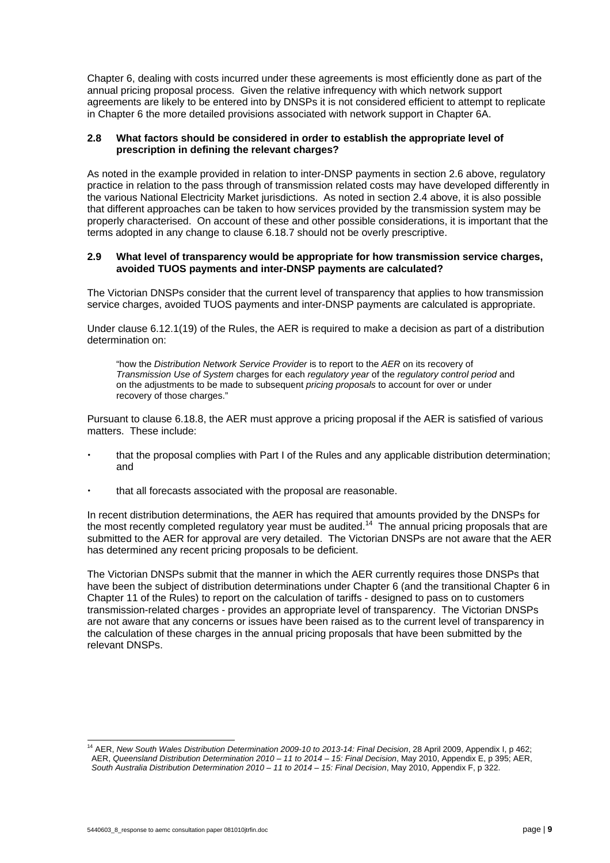Chapter 6, dealing with costs incurred under these agreements is most efficiently done as part of the annual pricing proposal process. Given the relative infrequency with which network support agreements are likely to be entered into by DNSPs it is not considered efficient to attempt to replicate in Chapter 6 the more detailed provisions associated with network support in Chapter 6A.

# **2.8 What factors should be considered in order to establish the appropriate level of prescription in defining the relevant charges?**

As noted in the example provided in relation to inter-DNSP payments in section 2.6 above, regulatory practice in relation to the pass through of transmission related costs may have developed differently in the various National Electricity Market jurisdictions. As noted in section 2.4 above, it is also possible that different approaches can be taken to how services provided by the transmission system may be properly characterised. On account of these and other possible considerations, it is important that the terms adopted in any change to clause 6.18.7 should not be overly prescriptive.

#### **2.9 What level of transparency would be appropriate for how transmission service charges, avoided TUOS payments and inter-DNSP payments are calculated?**

The Victorian DNSPs consider that the current level of transparency that applies to how transmission service charges, avoided TUOS payments and inter-DNSP payments are calculated is appropriate.

Under clause 6.12.1(19) of the Rules, the AER is required to make a decision as part of a distribution determination on:

"how the *Distribution Network Service Provider* is to report to the *AER* on its recovery of *Transmission Use of System* charges for each *regulatory year* of the *regulatory control period* and on the adjustments to be made to subsequent *pricing proposals* to account for over or under recovery of those charges."

Pursuant to clause 6.18.8, the AER must approve a pricing proposal if the AER is satisfied of various matters. These include:

- that the proposal complies with Part I of the Rules and any applicable distribution determination; and
- that all forecasts associated with the proposal are reasonable.

In recent distribution determinations, the AER has required that amounts provided by the DNSPs for the most recently completed regulatory year must be audited.<sup>14</sup> The annual pricing proposals that are submitted to the AER for approval are very detailed. The Victorian DNSPs are not aware that the AER has determined any recent pricing proposals to be deficient.

The Victorian DNSPs submit that the manner in which the AER currently requires those DNSPs that have been the subject of distribution determinations under Chapter 6 (and the transitional Chapter 6 in Chapter 11 of the Rules) to report on the calculation of tariffs - designed to pass on to customers transmission-related charges - provides an appropriate level of transparency. The Victorian DNSPs are not aware that any concerns or issues have been raised as to the current level of transparency in the calculation of these charges in the annual pricing proposals that have been submitted by the relevant DNSPs.

 $\overline{a}$ 

<sup>&</sup>lt;sup>14</sup> AER, New South Wales Distribution Determination 2009-10 to 2013-14: Final Decision, 28 April 2009, Appendix I, p 462; AER, *Queensland Distribution Determination 2010 – 11 to 2014 – 15: Final Decision*, May 2010, Appendix E, p 395; AER, *South Australia Distribution Determination 2010 – 11 to 2014 – 15: Final Decision*, May 2010, Appendix F, p 322.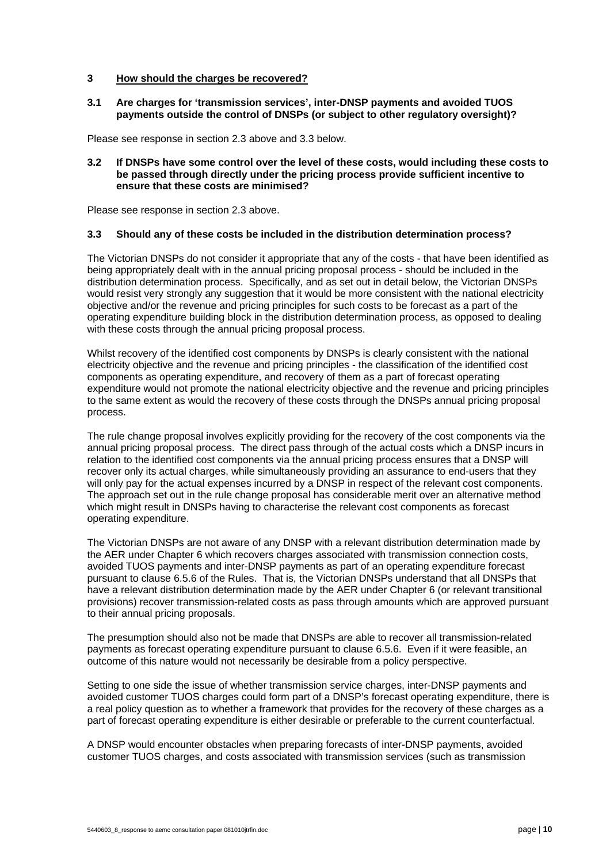## **3 How should the charges be recovered?**

**3.1 Are charges for 'transmission services', inter-DNSP payments and avoided TUOS payments outside the control of DNSPs (or subject to other regulatory oversight)?** 

Please see response in section 2.3 above and 3.3 below.

## **3.2 If DNSPs have some control over the level of these costs, would including these costs to be passed through directly under the pricing process provide sufficient incentive to ensure that these costs are minimised?**

Please see response in section 2.3 above.

## **3.3 Should any of these costs be included in the distribution determination process?**

The Victorian DNSPs do not consider it appropriate that any of the costs - that have been identified as being appropriately dealt with in the annual pricing proposal process - should be included in the distribution determination process. Specifically, and as set out in detail below, the Victorian DNSPs would resist very strongly any suggestion that it would be more consistent with the national electricity objective and/or the revenue and pricing principles for such costs to be forecast as a part of the operating expenditure building block in the distribution determination process, as opposed to dealing with these costs through the annual pricing proposal process.

Whilst recovery of the identified cost components by DNSPs is clearly consistent with the national electricity objective and the revenue and pricing principles - the classification of the identified cost components as operating expenditure, and recovery of them as a part of forecast operating expenditure would not promote the national electricity objective and the revenue and pricing principles to the same extent as would the recovery of these costs through the DNSPs annual pricing proposal process.

The rule change proposal involves explicitly providing for the recovery of the cost components via the annual pricing proposal process. The direct pass through of the actual costs which a DNSP incurs in relation to the identified cost components via the annual pricing process ensures that a DNSP will recover only its actual charges, while simultaneously providing an assurance to end-users that they will only pay for the actual expenses incurred by a DNSP in respect of the relevant cost components. The approach set out in the rule change proposal has considerable merit over an alternative method which might result in DNSPs having to characterise the relevant cost components as forecast operating expenditure.

The Victorian DNSPs are not aware of any DNSP with a relevant distribution determination made by the AER under Chapter 6 which recovers charges associated with transmission connection costs, avoided TUOS payments and inter-DNSP payments as part of an operating expenditure forecast pursuant to clause 6.5.6 of the Rules. That is, the Victorian DNSPs understand that all DNSPs that have a relevant distribution determination made by the AER under Chapter 6 (or relevant transitional provisions) recover transmission-related costs as pass through amounts which are approved pursuant to their annual pricing proposals.

The presumption should also not be made that DNSPs are able to recover all transmission-related payments as forecast operating expenditure pursuant to clause 6.5.6. Even if it were feasible, an outcome of this nature would not necessarily be desirable from a policy perspective.

Setting to one side the issue of whether transmission service charges, inter-DNSP payments and avoided customer TUOS charges could form part of a DNSP's forecast operating expenditure, there is a real policy question as to whether a framework that provides for the recovery of these charges as a part of forecast operating expenditure is either desirable or preferable to the current counterfactual.

A DNSP would encounter obstacles when preparing forecasts of inter-DNSP payments, avoided customer TUOS charges, and costs associated with transmission services (such as transmission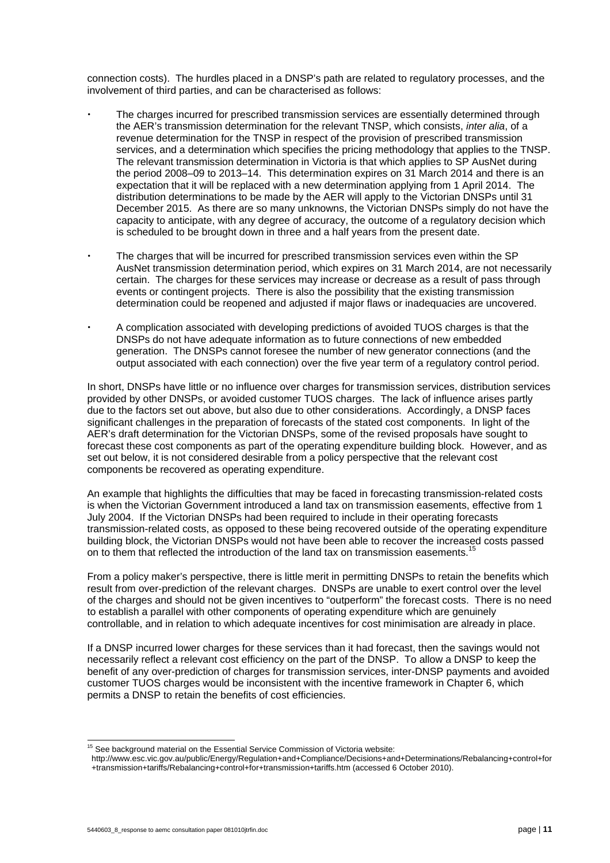connection costs). The hurdles placed in a DNSP's path are related to regulatory processes, and the involvement of third parties, and can be characterised as follows:

- The charges incurred for prescribed transmission services are essentially determined through the AER's transmission determination for the relevant TNSP, which consists, *inter alia*, of a revenue determination for the TNSP in respect of the provision of prescribed transmission services, and a determination which specifies the pricing methodology that applies to the TNSP. The relevant transmission determination in Victoria is that which applies to SP AusNet during the period 2008–09 to 2013–14. This determination expires on 31 March 2014 and there is an expectation that it will be replaced with a new determination applying from 1 April 2014. The distribution determinations to be made by the AER will apply to the Victorian DNSPs until 31 December 2015. As there are so many unknowns, the Victorian DNSPs simply do not have the capacity to anticipate, with any degree of accuracy, the outcome of a regulatory decision which is scheduled to be brought down in three and a half years from the present date.
- The charges that will be incurred for prescribed transmission services even within the SP AusNet transmission determination period, which expires on 31 March 2014, are not necessarily certain. The charges for these services may increase or decrease as a result of pass through events or contingent projects. There is also the possibility that the existing transmission determination could be reopened and adjusted if major flaws or inadequacies are uncovered.
- A complication associated with developing predictions of avoided TUOS charges is that the DNSPs do not have adequate information as to future connections of new embedded generation. The DNSPs cannot foresee the number of new generator connections (and the output associated with each connection) over the five year term of a regulatory control period.

In short, DNSPs have little or no influence over charges for transmission services, distribution services provided by other DNSPs, or avoided customer TUOS charges. The lack of influence arises partly due to the factors set out above, but also due to other considerations. Accordingly, a DNSP faces significant challenges in the preparation of forecasts of the stated cost components. In light of the AER's draft determination for the Victorian DNSPs, some of the revised proposals have sought to forecast these cost components as part of the operating expenditure building block. However, and as set out below, it is not considered desirable from a policy perspective that the relevant cost components be recovered as operating expenditure.

An example that highlights the difficulties that may be faced in forecasting transmission-related costs is when the Victorian Government introduced a land tax on transmission easements, effective from 1 July 2004. If the Victorian DNSPs had been required to include in their operating forecasts transmission-related costs, as opposed to these being recovered outside of the operating expenditure building block, the Victorian DNSPs would not have been able to recover the increased costs passed on to them that reflected the introduction of the land tax on transmission easements.<sup>15</sup>

From a policy maker's perspective, there is little merit in permitting DNSPs to retain the benefits which result from over-prediction of the relevant charges. DNSPs are unable to exert control over the level of the charges and should not be given incentives to "outperform" the forecast costs. There is no need to establish a parallel with other components of operating expenditure which are genuinely controllable, and in relation to which adequate incentives for cost minimisation are already in place.

If a DNSP incurred lower charges for these services than it had forecast, then the savings would not necessarily reflect a relevant cost efficiency on the part of the DNSP. To allow a DNSP to keep the benefit of any over-prediction of charges for transmission services, inter-DNSP payments and avoided customer TUOS charges would be inconsistent with the incentive framework in Chapter 6, which permits a DNSP to retain the benefits of cost efficiencies.

 $\overline{a}$ 

 $15$  See background material on the Essential Service Commission of Victoria website:

http://www.esc.vic.gov.au/public/Energy/Regulation+and+Compliance/Decisions+and+Determinations/Rebalancing+control+for +transmission+tariffs/Rebalancing+control+for+transmission+tariffs.htm (accessed 6 October 2010).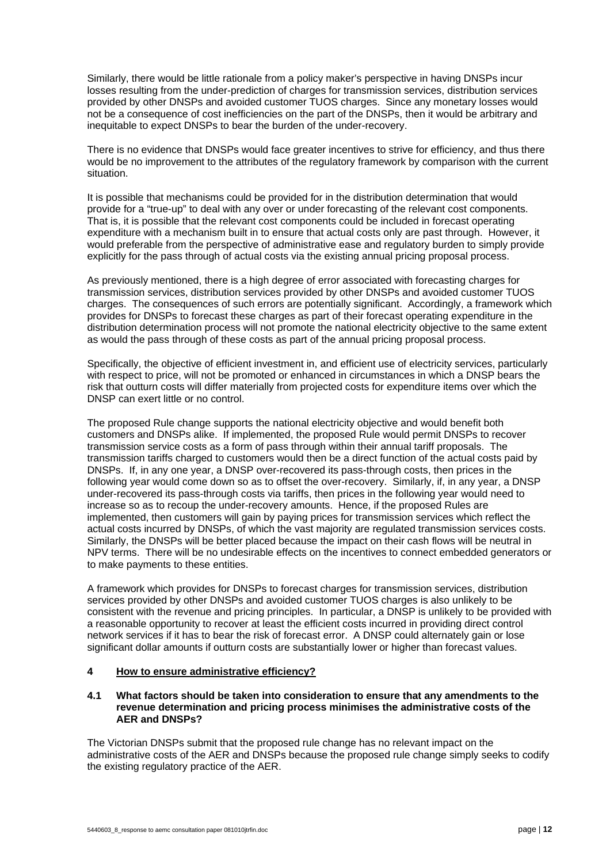Similarly, there would be little rationale from a policy maker's perspective in having DNSPs incur losses resulting from the under-prediction of charges for transmission services, distribution services provided by other DNSPs and avoided customer TUOS charges. Since any monetary losses would not be a consequence of cost inefficiencies on the part of the DNSPs, then it would be arbitrary and inequitable to expect DNSPs to bear the burden of the under-recovery.

There is no evidence that DNSPs would face greater incentives to strive for efficiency, and thus there would be no improvement to the attributes of the regulatory framework by comparison with the current situation.

It is possible that mechanisms could be provided for in the distribution determination that would provide for a "true-up" to deal with any over or under forecasting of the relevant cost components. That is, it is possible that the relevant cost components could be included in forecast operating expenditure with a mechanism built in to ensure that actual costs only are past through. However, it would preferable from the perspective of administrative ease and regulatory burden to simply provide explicitly for the pass through of actual costs via the existing annual pricing proposal process.

As previously mentioned, there is a high degree of error associated with forecasting charges for transmission services, distribution services provided by other DNSPs and avoided customer TUOS charges. The consequences of such errors are potentially significant. Accordingly, a framework which provides for DNSPs to forecast these charges as part of their forecast operating expenditure in the distribution determination process will not promote the national electricity objective to the same extent as would the pass through of these costs as part of the annual pricing proposal process.

Specifically, the objective of efficient investment in, and efficient use of electricity services, particularly with respect to price, will not be promoted or enhanced in circumstances in which a DNSP bears the risk that outturn costs will differ materially from projected costs for expenditure items over which the DNSP can exert little or no control.

The proposed Rule change supports the national electricity objective and would benefit both customers and DNSPs alike. If implemented, the proposed Rule would permit DNSPs to recover transmission service costs as a form of pass through within their annual tariff proposals. The transmission tariffs charged to customers would then be a direct function of the actual costs paid by DNSPs. If, in any one year, a DNSP over-recovered its pass-through costs, then prices in the following year would come down so as to offset the over-recovery. Similarly, if, in any year, a DNSP under-recovered its pass-through costs via tariffs, then prices in the following year would need to increase so as to recoup the under-recovery amounts. Hence, if the proposed Rules are implemented, then customers will gain by paying prices for transmission services which reflect the actual costs incurred by DNSPs, of which the vast majority are regulated transmission services costs. Similarly, the DNSPs will be better placed because the impact on their cash flows will be neutral in NPV terms. There will be no undesirable effects on the incentives to connect embedded generators or to make payments to these entities.

A framework which provides for DNSPs to forecast charges for transmission services, distribution services provided by other DNSPs and avoided customer TUOS charges is also unlikely to be consistent with the revenue and pricing principles. In particular, a DNSP is unlikely to be provided with a reasonable opportunity to recover at least the efficient costs incurred in providing direct control network services if it has to bear the risk of forecast error. A DNSP could alternately gain or lose significant dollar amounts if outturn costs are substantially lower or higher than forecast values.

#### **4 How to ensure administrative efficiency?**

#### **4.1 What factors should be taken into consideration to ensure that any amendments to the revenue determination and pricing process minimises the administrative costs of the AER and DNSPs?**

The Victorian DNSPs submit that the proposed rule change has no relevant impact on the administrative costs of the AER and DNSPs because the proposed rule change simply seeks to codify the existing regulatory practice of the AER.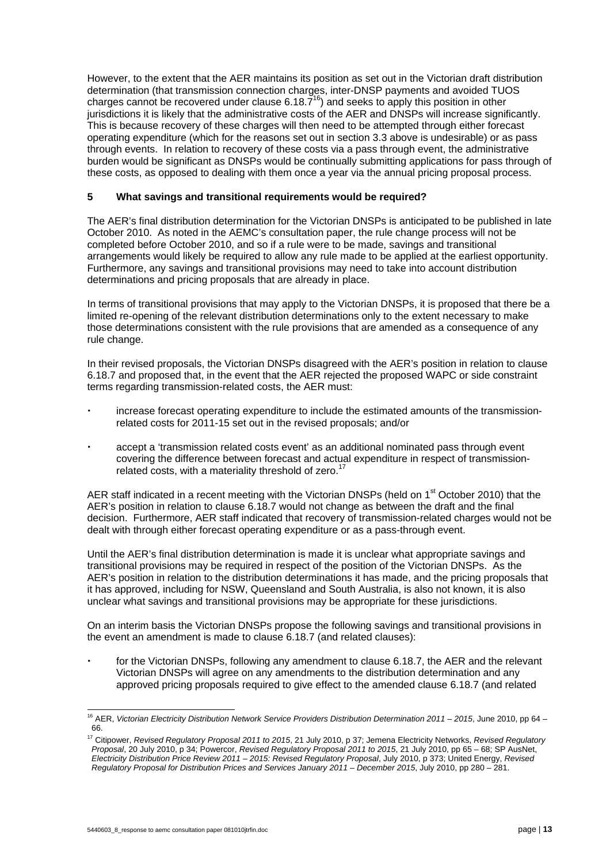However, to the extent that the AER maintains its position as set out in the Victorian draft distribution determination (that transmission connection charges, inter-DNSP payments and avoided TUOS charges cannot be recovered under clause 6.18. $7^{16}$ ) and seeks to apply this position in other jurisdictions it is likely that the administrative costs of the AER and DNSPs will increase significantly. This is because recovery of these charges will then need to be attempted through either forecast operating expenditure (which for the reasons set out in section 3.3 above is undesirable) or as pass through events. In relation to recovery of these costs via a pass through event, the administrative burden would be significant as DNSPs would be continually submitting applications for pass through of these costs, as opposed to dealing with them once a year via the annual pricing proposal process.

# **5 What savings and transitional requirements would be required?**

The AER's final distribution determination for the Victorian DNSPs is anticipated to be published in late October 2010. As noted in the AEMC's consultation paper, the rule change process will not be completed before October 2010, and so if a rule were to be made, savings and transitional arrangements would likely be required to allow any rule made to be applied at the earliest opportunity. Furthermore, any savings and transitional provisions may need to take into account distribution determinations and pricing proposals that are already in place.

In terms of transitional provisions that may apply to the Victorian DNSPs, it is proposed that there be a limited re-opening of the relevant distribution determinations only to the extent necessary to make those determinations consistent with the rule provisions that are amended as a consequence of any rule change.

In their revised proposals, the Victorian DNSPs disagreed with the AER's position in relation to clause 6.18.7 and proposed that, in the event that the AER rejected the proposed WAPC or side constraint terms regarding transmission-related costs, the AER must:

- increase forecast operating expenditure to include the estimated amounts of the transmissionrelated costs for 2011-15 set out in the revised proposals; and/or
- accept a 'transmission related costs event' as an additional nominated pass through event covering the difference between forecast and actual expenditure in respect of transmissionrelated costs, with a materiality threshold of zero.<sup>1</sup>

AER staff indicated in a recent meeting with the Victorian DNSPs (held on 1<sup>st</sup> October 2010) that the AER's position in relation to clause 6.18.7 would not change as between the draft and the final decision. Furthermore, AER staff indicated that recovery of transmission-related charges would not be dealt with through either forecast operating expenditure or as a pass-through event.

Until the AER's final distribution determination is made it is unclear what appropriate savings and transitional provisions may be required in respect of the position of the Victorian DNSPs. As the AER's position in relation to the distribution determinations it has made, and the pricing proposals that it has approved, including for NSW, Queensland and South Australia, is also not known, it is also unclear what savings and transitional provisions may be appropriate for these jurisdictions.

On an interim basis the Victorian DNSPs propose the following savings and transitional provisions in the event an amendment is made to clause 6.18.7 (and related clauses):

for the Victorian DNSPs, following any amendment to clause 6.18.7, the AER and the relevant Victorian DNSPs will agree on any amendments to the distribution determination and any approved pricing proposals required to give effect to the amended clause 6.18.7 (and related

 $\overline{a}$ 16 AER, *Victorian Electricity Distribution Network Service Providers Distribution Determination 2011 – 2015*, June 2010, pp 64 – 66.

<sup>17</sup> Citipower, *Revised Regulatory Proposal 2011 to 2015*, 21 July 2010, p 37; Jemena Electricity Networks, *Revised Regulatory Proposal*, 20 July 2010, p 34; Powercor, *Revised Regulatory Proposal 2011 to 2015*, 21 July 2010, pp 65 – 68; SP AusNet, *Electricity Distribution Price Review 2011 – 2015: Revised Regulatory Proposal*, July 2010, p 373; United Energy, *Revised Regulatory Proposal for Distribution Prices and Services January 2011 – December 2015*, July 2010, pp 280 – 281.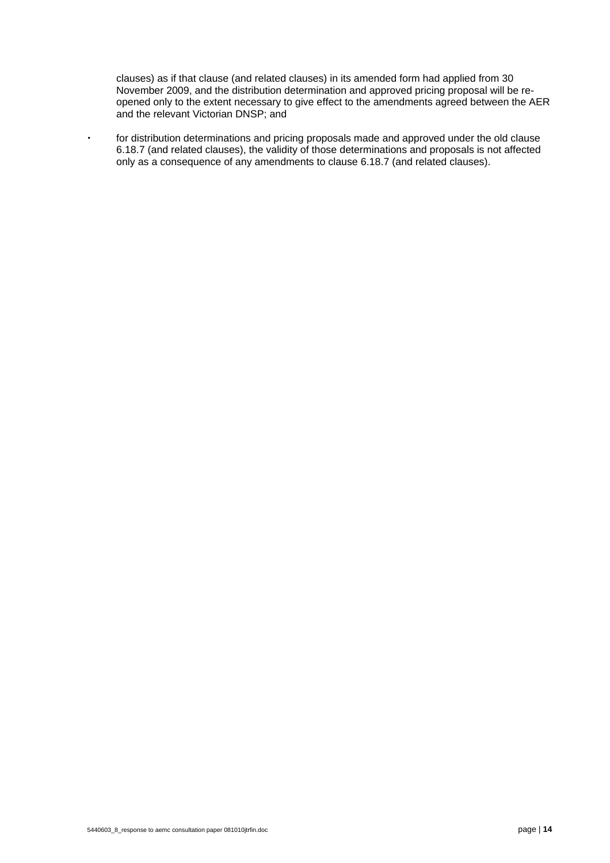clauses) as if that clause (and related clauses) in its amended form had applied from 30 November 2009, and the distribution determination and approved pricing proposal will be reopened only to the extent necessary to give effect to the amendments agreed between the AER and the relevant Victorian DNSP; and

\* for distribution determinations and pricing proposals made and approved under the old clause 6.18.7 (and related clauses), the validity of those determinations and proposals is not affected only as a consequence of any amendments to clause 6.18.7 (and related clauses).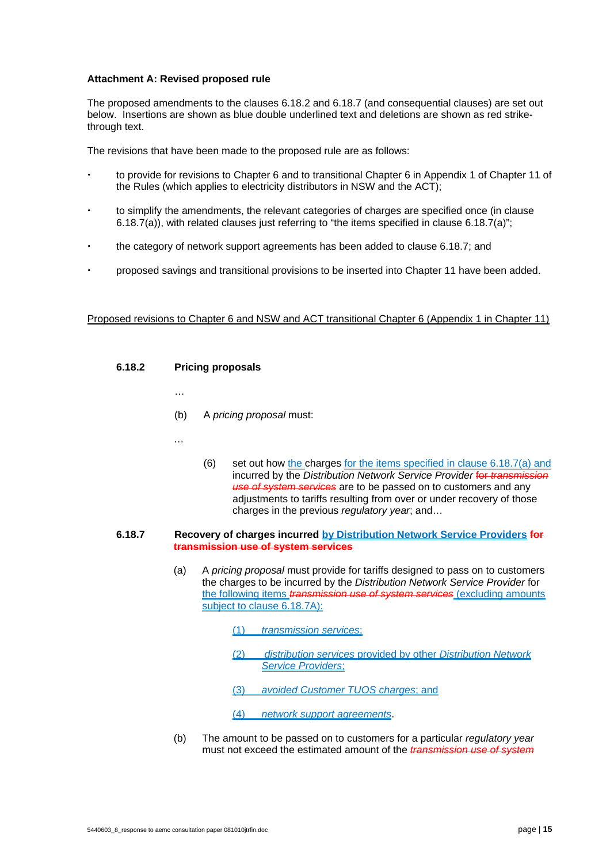## **Attachment A: Revised proposed rule**

The proposed amendments to the clauses 6.18.2 and 6.18.7 (and consequential clauses) are set out below. Insertions are shown as blue double underlined text and deletions are shown as red strikethrough text.

The revisions that have been made to the proposed rule are as follows:

- to provide for revisions to Chapter 6 and to transitional Chapter 6 in Appendix 1 of Chapter 11 of the Rules (which applies to electricity distributors in NSW and the ACT);
- to simplify the amendments, the relevant categories of charges are specified once (in clause 6.18.7(a)), with related clauses just referring to "the items specified in clause 6.18.7(a)";
- the category of network support agreements has been added to clause 6.18.7; and
- proposed savings and transitional provisions to be inserted into Chapter 11 have been added.

Proposed revisions to Chapter 6 and NSW and ACT transitional Chapter 6 (Appendix 1 in Chapter 11)

## **6.18.2 Pricing proposals**

…

(b) A *pricing proposal* must:

…

(6) set out how the charges for the items specified in clause 6.18.7(a) and incurred by the *Distribution Network Service Provider* for *transmission use of system services* are to be passed on to customers and any adjustments to tariffs resulting from over or under recovery of those charges in the previous *regulatory year*; and…

## **6.18.7 Recovery of charges incurred by Distribution Network Service Providers for transmission use of system services**

- (a) A *pricing proposal* must provide for tariffs designed to pass on to customers the charges to be incurred by the *Distribution Network Service Provider* for the following items *transmission use of system services* (excluding amounts subject to clause 6.18.7A):
	- (1) *transmission services*;
	- (2) *distribution services* provided by other *Distribution Network Service Providers*;
	- (3) *avoided Customer TUOS charges*; and
	- (4) *network support agreements*.
- (b) The amount to be passed on to customers for a particular *regulatory year* must not exceed the estimated amount of the *transmission use of system*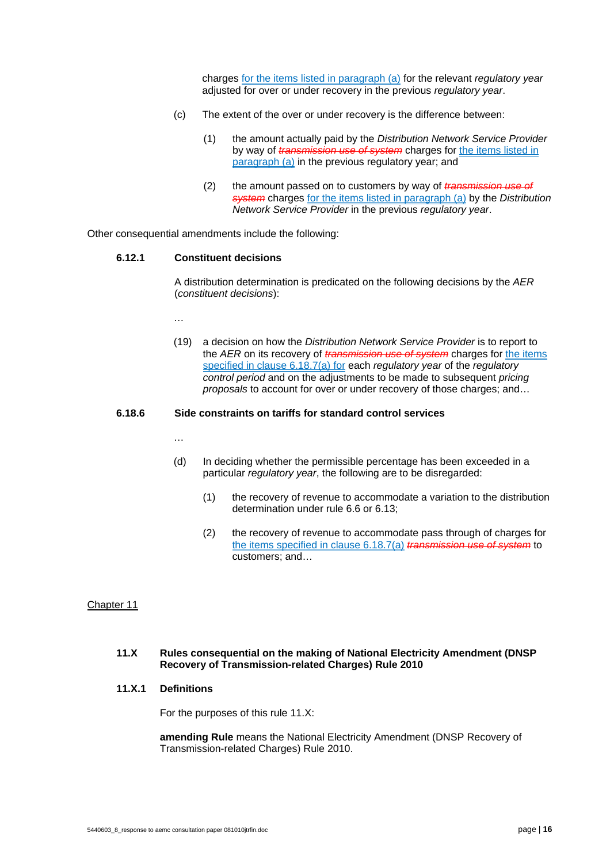charges for the items listed in paragraph (a) for the relevant *regulatory year* adjusted for over or under recovery in the previous *regulatory year*.

- (c) The extent of the over or under recovery is the difference between:
	- (1) the amount actually paid by the *Distribution Network Service Provider* by way of *transmission use of system* charges for the items listed in paragraph (a) in the previous regulatory year; and
	- (2) the amount passed on to customers by way of *transmission use of system* charges for the items listed in paragraph (a) by the *Distribution Network Service Provider* in the previous *regulatory year*.

Other consequential amendments include the following:

## **6.12.1 Constituent decisions**

A distribution determination is predicated on the following decisions by the *AER* (*constituent decisions*):

…

(19) a decision on how the *Distribution Network Service Provider* is to report to the *AER* on its recovery of *transmission use of system* charges for the items specified in clause 6.18.7(a) for each *regulatory year* of the *regulatory control period* and on the adjustments to be made to subsequent *pricing proposals* to account for over or under recovery of those charges; and…

# **6.18.6 Side constraints on tariffs for standard control services**

…

- (d) In deciding whether the permissible percentage has been exceeded in a particular *regulatory year*, the following are to be disregarded:
	- (1) the recovery of revenue to accommodate a variation to the distribution determination under rule 6.6 or 6.13;
	- (2) the recovery of revenue to accommodate pass through of charges for the items specified in clause 6.18.7(a) *transmission use of system* to customers; and…

Chapter 11

## **11.X Rules consequential on the making of National Electricity Amendment (DNSP Recovery of Transmission-related Charges) Rule 2010**

# **11.X.1 Definitions**

For the purposes of this rule 11.X:

**amending Rule** means the National Electricity Amendment (DNSP Recovery of Transmission-related Charges) Rule 2010.